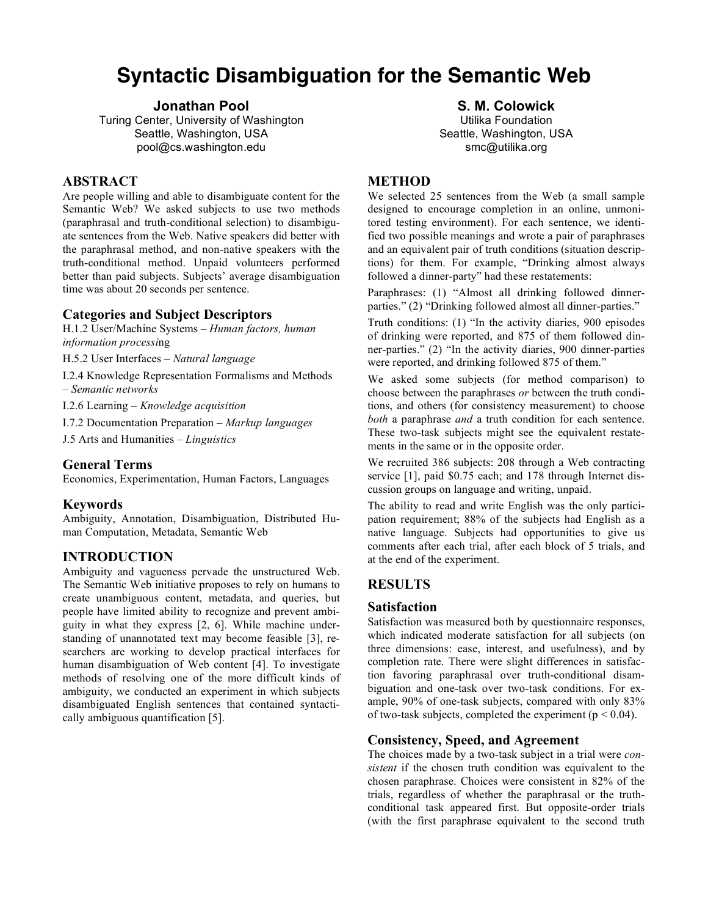# **Syntactic Disambiguation for the Semantic Web**

## **Jonathan Pool**

Turing Center, University of Washington Seattle, Washington, USA pool@cs.washington.edu

# **ABSTRACT**

Are people willing and able to disambiguate content for the Semantic Web? We asked subjects to use two methods (paraphrasal and truth-conditional selection) to disambiguate sentences from the Web. Native speakers did better with the paraphrasal method, and non-native speakers with the truth-conditional method. Unpaid volunteers performed better than paid subjects. Subjects' average disambiguation time was about 20 seconds per sentence.

## **Categories and Subject Descriptors**

H.1.2 User/Machine Systems – *Human factors, human information processi*ng

H.5.2 User Interfaces – *Natural language*

I.2.4 Knowledge Representation Formalisms and Methods – *Semantic networks*

I.2.6 Learning – *Knowledge acquisition*

I.7.2 Documentation Preparation – *Markup languages*

J.5 Arts and Humanities – *Linguistics*

## **General Terms**

Economics, Experimentation, Human Factors, Languages

## **Keywords**

Ambiguity, Annotation, Disambiguation, Distributed Human Computation, Metadata, Semantic Web

# **INTRODUCTION**

Ambiguity and vagueness pervade the unstructured Web. The Semantic Web initiative proposes to rely on humans to create unambiguous content, metadata, and queries, but people have limited ability to recognize and prevent ambiguity in what they express [2, 6]. While machine understanding of unannotated text may become feasible [3], researchers are working to develop practical interfaces for human disambiguation of Web content [4]. To investigate methods of resolving one of the more difficult kinds of ambiguity, we conducted an experiment in which subjects disambiguated English sentences that contained syntactically ambiguous quantification [5].

## **S. M. Colowick**

Utilika Foundation Seattle, Washington, USA smc@utilika.org

## **METHOD**

We selected 25 sentences from the Web (a small sample designed to encourage completion in an online, unmonitored testing environment). For each sentence, we identified two possible meanings and wrote a pair of paraphrases and an equivalent pair of truth conditions (situation descriptions) for them. For example, "Drinking almost always followed a dinner-party" had these restatements:

Paraphrases: (1) "Almost all drinking followed dinnerparties." (2) "Drinking followed almost all dinner-parties."

Truth conditions: (1) "In the activity diaries, 900 episodes of drinking were reported, and 875 of them followed dinner-parties." (2) "In the activity diaries, 900 dinner-parties were reported, and drinking followed 875 of them."

We asked some subjects (for method comparison) to choose between the paraphrases *or* between the truth conditions, and others (for consistency measurement) to choose *both* a paraphrase *and* a truth condition for each sentence. These two-task subjects might see the equivalent restatements in the same or in the opposite order.

We recruited 386 subjects: 208 through a Web contracting service [1], paid \$0.75 each; and 178 through Internet discussion groups on language and writing, unpaid.

The ability to read and write English was the only participation requirement; 88% of the subjects had English as a native language. Subjects had opportunities to give us comments after each trial, after each block of 5 trials, and at the end of the experiment.

## **RESULTS**

## **Satisfaction**

Satisfaction was measured both by questionnaire responses, which indicated moderate satisfaction for all subjects (on three dimensions: ease, interest, and usefulness), and by completion rate. There were slight differences in satisfaction favoring paraphrasal over truth-conditional disambiguation and one-task over two-task conditions. For example, 90% of one-task subjects, compared with only 83% of two-task subjects, completed the experiment ( $p < 0.04$ ).

## **Consistency, Speed, and Agreement**

The choices made by a two-task subject in a trial were *consistent* if the chosen truth condition was equivalent to the chosen paraphrase. Choices were consistent in 82% of the trials, regardless of whether the paraphrasal or the truthconditional task appeared first. But opposite-order trials (with the first paraphrase equivalent to the second truth